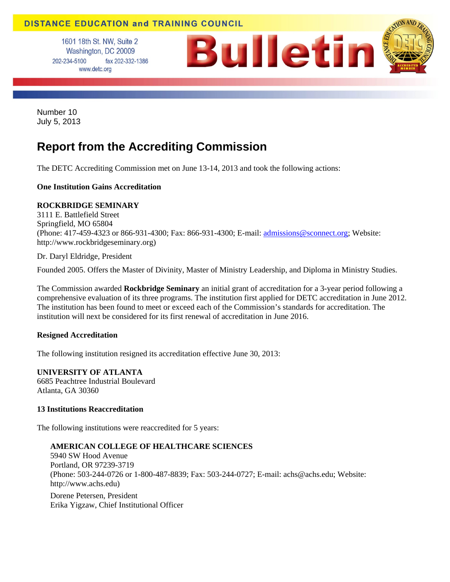# **DISTANCE EDUCATION and TRAINING COUNCIL**

1601 18th St. NW, Suite 2 Washington, DC 20009 202-234-5100 fax 202-332-1386 www.detc.org



Number 10 July 5, 2013

# **Report from the Accrediting Commission**

The DETC Accrediting Commission met on June 13-14, 2013 and took the following actions:

## **One Institution Gains Accreditation**

## **ROCKBRIDGE SEMINARY**

3111 E. Battlefield Street Springfield, MO 65804 (Phone: 417-459-4323 or 866-931-4300; Fax: 866-931-4300; E-mail: admissions@sconnect.org; Website: http://www.rockbridgeseminary.org)

Dr. Daryl Eldridge, President

Founded 2005. Offers the Master of Divinity, Master of Ministry Leadership, and Diploma in Ministry Studies.

The Commission awarded **Rockbridge Seminary** an initial grant of accreditation for a 3-year period following a comprehensive evaluation of its three programs. The institution first applied for DETC accreditation in June 2012. The institution has been found to meet or exceed each of the Commission's standards for accreditation. The institution will next be considered for its first renewal of accreditation in June 2016.

## **Resigned Accreditation**

The following institution resigned its accreditation effective June 30, 2013:

**UNIVERSITY OF ATLANTA**  6685 Peachtree Industrial Boulevard Atlanta, GA 30360

## **13 Institutions Reaccreditation**

The following institutions were reaccredited for 5 years:

# **AMERICAN COLLEGE OF HEALTHCARE SCIENCES**

5940 SW Hood Avenue Portland, OR 97239-3719 (Phone: 503-244-0726 or 1-800-487-8839; Fax: 503-244-0727; E-mail: achs@achs.edu; Website: http://www.achs.edu)

Dorene Petersen, President Erika Yigzaw, Chief Institutional Officer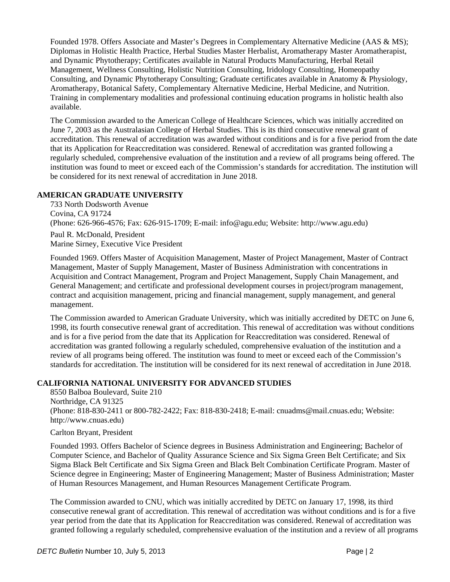Founded 1978. Offers Associate and Master's Degrees in Complementary Alternative Medicine (AAS & MS); Diplomas in Holistic Health Practice, Herbal Studies Master Herbalist, Aromatherapy Master Aromatherapist, and Dynamic Phytotherapy; Certificates available in Natural Products Manufacturing, Herbal Retail Management, Wellness Consulting, Holistic Nutrition Consulting, Iridology Consulting, Homeopathy Consulting, and Dynamic Phytotherapy Consulting; Graduate certificates available in Anatomy & Physiology, Aromatherapy, Botanical Safety, Complementary Alternative Medicine, Herbal Medicine, and Nutrition. Training in complementary modalities and professional continuing education programs in holistic health also available.

The Commission awarded to the American College of Healthcare Sciences, which was initially accredited on June 7, 2003 as the Australasian College of Herbal Studies. This is its third consecutive renewal grant of accreditation. This renewal of accreditation was awarded without conditions and is for a five period from the date that its Application for Reaccreditation was considered. Renewal of accreditation was granted following a regularly scheduled, comprehensive evaluation of the institution and a review of all programs being offered. The institution was found to meet or exceed each of the Commission's standards for accreditation. The institution will be considered for its next renewal of accreditation in June 2018.

## **AMERICAN GRADUATE UNIVERSITY**

733 North Dodsworth Avenue Covina, CA 91724 (Phone: 626-966-4576; Fax: 626-915-1709; E-mail: info@agu.edu; Website: http://www.agu.edu) Paul R. McDonald, President

Marine Sirney, Executive Vice President

Founded 1969. Offers Master of Acquisition Management, Master of Project Management, Master of Contract Management, Master of Supply Management, Master of Business Administration with concentrations in Acquisition and Contract Management, Program and Project Management, Supply Chain Management, and General Management; and certificate and professional development courses in project/program management, contract and acquisition management, pricing and financial management, supply management, and general management.

The Commission awarded to American Graduate University, which was initially accredited by DETC on June 6, 1998, its fourth consecutive renewal grant of accreditation. This renewal of accreditation was without conditions and is for a five period from the date that its Application for Reaccreditation was considered. Renewal of accreditation was granted following a regularly scheduled, comprehensive evaluation of the institution and a review of all programs being offered. The institution was found to meet or exceed each of the Commission's standards for accreditation. The institution will be considered for its next renewal of accreditation in June 2018.

# **CALIFORNIA NATIONAL UNIVERSITY FOR ADVANCED STUDIES**

8550 Balboa Boulevard, Suite 210 Northridge, CA 91325 (Phone: 818-830-2411 or 800-782-2422; Fax: 818-830-2418; E-mail: cnuadms@mail.cnuas.edu; Website: http://www.cnuas.edu)

Carlton Bryant, President

Founded 1993. Offers Bachelor of Science degrees in Business Administration and Engineering; Bachelor of Computer Science, and Bachelor of Quality Assurance Science and Six Sigma Green Belt Certificate; and Six Sigma Black Belt Certificate and Six Sigma Green and Black Belt Combination Certificate Program. Master of Science degree in Engineering; Master of Engineering Management; Master of Business Administration; Master of Human Resources Management, and Human Resources Management Certificate Program.

The Commission awarded to CNU, which was initially accredited by DETC on January 17, 1998, its third consecutive renewal grant of accreditation. This renewal of accreditation was without conditions and is for a five year period from the date that its Application for Reaccreditation was considered. Renewal of accreditation was granted following a regularly scheduled, comprehensive evaluation of the institution and a review of all programs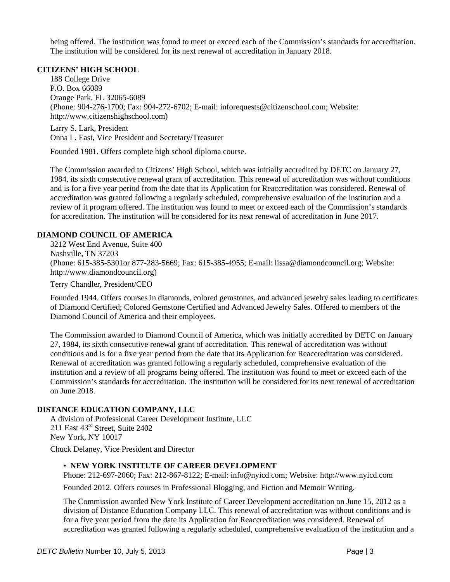being offered. The institution was found to meet or exceed each of the Commission's standards for accreditation. The institution will be considered for its next renewal of accreditation in January 2018.

## **CITIZENS' HIGH SCHOOL**

188 College Drive P.O. Box 66089 Orange Park, FL 32065-6089 (Phone: 904-276-1700; Fax: 904-272-6702; E-mail: inforequests@citizenschool.com; Website: http://www.citizenshighschool.com)

Larry S. Lark, President Onna L. East, Vice President and Secretary/Treasurer

Founded 1981. Offers complete high school diploma course.

The Commission awarded to Citizens' High School, which was initially accredited by DETC on January 27, 1984, its sixth consecutive renewal grant of accreditation. This renewal of accreditation was without conditions and is for a five year period from the date that its Application for Reaccreditation was considered. Renewal of accreditation was granted following a regularly scheduled, comprehensive evaluation of the institution and a review of it program offered. The institution was found to meet or exceed each of the Commission's standards for accreditation. The institution will be considered for its next renewal of accreditation in June 2017.

# **DIAMOND COUNCIL OF AMERICA**

3212 West End Avenue, Suite 400 Nashville, TN 37203 (Phone: 615-385-5301or 877-283-5669; Fax: 615-385-4955; E-mail: lissa@diamondcouncil.org; Website: http://www.diamondcouncil.org)

Terry Chandler, President/CEO

Founded 1944. Offers courses in diamonds, colored gemstones, and advanced jewelry sales leading to certificates of Diamond Certified; Colored Gemstone Certified and Advanced Jewelry Sales. Offered to members of the Diamond Council of America and their employees.

The Commission awarded to Diamond Council of America, which was initially accredited by DETC on January 27, 1984, its sixth consecutive renewal grant of accreditation. This renewal of accreditation was without conditions and is for a five year period from the date that its Application for Reaccreditation was considered. Renewal of accreditation was granted following a regularly scheduled, comprehensive evaluation of the institution and a review of all programs being offered. The institution was found to meet or exceed each of the Commission's standards for accreditation. The institution will be considered for its next renewal of accreditation on June 2018.

## **DISTANCE EDUCATION COMPANY, LLC**

A division of Professional Career Development Institute, LLC 211 East 43<sup>rd</sup> Street, Suite 2402 New York, NY 10017

Chuck Delaney, Vice President and Director

## • **NEW YORK INSTITUTE OF CAREER DEVELOPMENT**

Phone: 212-697-2060; Fax: 212-867-8122; E-mail: info@nyicd.com; Website: http://www.nyicd.com

Founded 2012. Offers courses in Professional Blogging, and Fiction and Memoir Writing.

The Commission awarded New York Institute of Career Development accreditation on June 15, 2012 as a division of Distance Education Company LLC. This renewal of accreditation was without conditions and is for a five year period from the date its Application for Reaccreditation was considered. Renewal of accreditation was granted following a regularly scheduled, comprehensive evaluation of the institution and a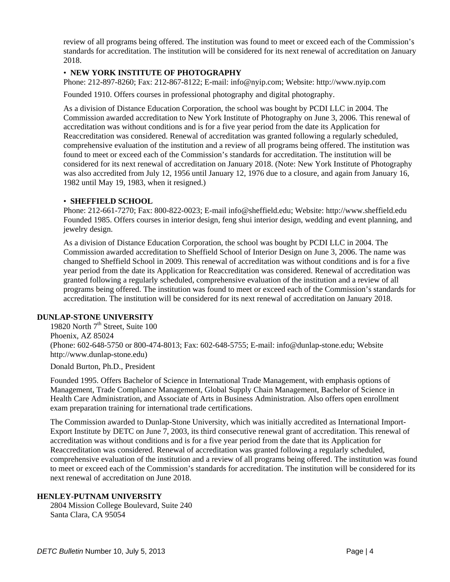review of all programs being offered. The institution was found to meet or exceed each of the Commission's standards for accreditation. The institution will be considered for its next renewal of accreditation on January 2018.

## • **NEW YORK INSTITUTE OF PHOTOGRAPHY**

Phone: 212-897-8260; Fax: 212-867-8122; E-mail: info@nyip.com; Website: http://www.nyip.com

Founded 1910. Offers courses in professional photography and digital photography.

As a division of Distance Education Corporation, the school was bought by PCDI LLC in 2004. The Commission awarded accreditation to New York Institute of Photography on June 3, 2006. This renewal of accreditation was without conditions and is for a five year period from the date its Application for Reaccreditation was considered. Renewal of accreditation was granted following a regularly scheduled, comprehensive evaluation of the institution and a review of all programs being offered. The institution was found to meet or exceed each of the Commission's standards for accreditation. The institution will be considered for its next renewal of accreditation on January 2018. (Note: New York Institute of Photography was also accredited from July 12, 1956 until January 12, 1976 due to a closure, and again from January 16, 1982 until May 19, 1983, when it resigned.)

## • **SHEFFIELD SCHOOL**

Phone: 212-661-7270; Fax: 800-822-0023; E-mail info@sheffield.edu; Website: http://www.sheffield.edu Founded 1985. Offers courses in interior design, feng shui interior design, wedding and event planning, and jewelry design.

As a division of Distance Education Corporation, the school was bought by PCDI LLC in 2004. The Commission awarded accreditation to Sheffield School of Interior Design on June 3, 2006. The name was changed to Sheffield School in 2009. This renewal of accreditation was without conditions and is for a five year period from the date its Application for Reaccreditation was considered. Renewal of accreditation was granted following a regularly scheduled, comprehensive evaluation of the institution and a review of all programs being offered. The institution was found to meet or exceed each of the Commission's standards for accreditation. The institution will be considered for its next renewal of accreditation on January 2018.

## **DUNLAP-STONE UNIVERSITY**

19820 North  $7<sup>th</sup>$  Street, Suite 100 Phoenix, AZ 85024 (Phone: 602-648-5750 or 800-474-8013; Fax: 602-648-5755; E-mail: info@dunlap-stone.edu; Website http://www.dunlap-stone.edu)

Donald Burton, Ph.D., President

Founded 1995. Offers Bachelor of Science in International Trade Management, with emphasis options of Management, Trade Compliance Management, Global Supply Chain Management, Bachelor of Science in Health Care Administration, and Associate of Arts in Business Administration. Also offers open enrollment exam preparation training for international trade certifications.

The Commission awarded to Dunlap-Stone University, which was initially accredited as International Import-Export Institute by DETC on June 7, 2003, its third consecutive renewal grant of accreditation. This renewal of accreditation was without conditions and is for a five year period from the date that its Application for Reaccreditation was considered. Renewal of accreditation was granted following a regularly scheduled, comprehensive evaluation of the institution and a review of all programs being offered. The institution was found to meet or exceed each of the Commission's standards for accreditation. The institution will be considered for its next renewal of accreditation on June 2018.

## **HENLEY-PUTNAM UNIVERSITY**

2804 Mission College Boulevard, Suite 240 Santa Clara, CA 95054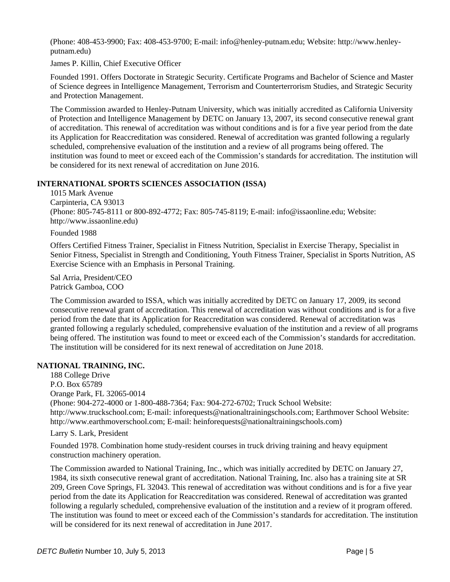(Phone: 408-453-9900; Fax: 408-453-9700; E-mail: info@henley-putnam.edu; Website: http://www.henleyputnam.edu)

James P. Killin, Chief Executive Officer

Founded 1991. Offers Doctorate in Strategic Security. Certificate Programs and Bachelor of Science and Master of Science degrees in Intelligence Management, Terrorism and Counterterrorism Studies, and Strategic Security and Protection Management.

The Commission awarded to Henley-Putnam University, which was initially accredited as California University of Protection and Intelligence Management by DETC on January 13, 2007, its second consecutive renewal grant of accreditation. This renewal of accreditation was without conditions and is for a five year period from the date its Application for Reaccreditation was considered. Renewal of accreditation was granted following a regularly scheduled, comprehensive evaluation of the institution and a review of all programs being offered. The institution was found to meet or exceed each of the Commission's standards for accreditation. The institution will be considered for its next renewal of accreditation on June 2016.

# **INTERNATIONAL SPORTS SCIENCES ASSOCIATION (ISSA)**

1015 Mark Avenue Carpinteria, CA 93013 (Phone: 805-745-8111 or 800-892-4772; Fax: 805-745-8119; E-mail: info@issaonline.edu; Website: http://www.issaonline.edu)

Founded 1988

Offers Certified Fitness Trainer, Specialist in Fitness Nutrition, Specialist in Exercise Therapy, Specialist in Senior Fitness, Specialist in Strength and Conditioning, Youth Fitness Trainer, Specialist in Sports Nutrition, AS Exercise Science with an Emphasis in Personal Training.

Sal Arria, President/CEO Patrick Gamboa, COO

The Commission awarded to ISSA, which was initially accredited by DETC on January 17, 2009, its second consecutive renewal grant of accreditation. This renewal of accreditation was without conditions and is for a five period from the date that its Application for Reaccreditation was considered. Renewal of accreditation was granted following a regularly scheduled, comprehensive evaluation of the institution and a review of all programs being offered. The institution was found to meet or exceed each of the Commission's standards for accreditation. The institution will be considered for its next renewal of accreditation on June 2018.

# **NATIONAL TRAINING, INC.**

188 College Drive P.O. Box 65789 Orange Park, FL 32065-0014 (Phone: 904-272-4000 or 1-800-488-7364; Fax: 904-272-6702; Truck School Website: http://www.truckschool.com; E-mail: inforequests@nationaltrainingschools.com; Earthmover School Website: http://www.earthmoverschool.com; E-mail: heinforequests@nationaltrainingschools.com)

## Larry S. Lark, President

Founded 1978. Combination home study-resident courses in truck driving training and heavy equipment construction machinery operation.

The Commission awarded to National Training, Inc., which was initially accredited by DETC on January 27, 1984, its sixth consecutive renewal grant of accreditation. National Training, Inc. also has a training site at SR 209, Green Cove Springs, FL 32043. This renewal of accreditation was without conditions and is for a five year period from the date its Application for Reaccreditation was considered. Renewal of accreditation was granted following a regularly scheduled, comprehensive evaluation of the institution and a review of it program offered. The institution was found to meet or exceed each of the Commission's standards for accreditation. The institution will be considered for its next renewal of accreditation in June 2017.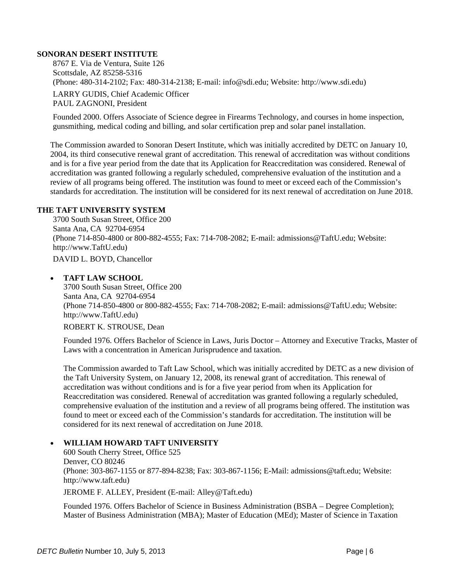#### **SONORAN DESERT INSTITUTE**

8767 E. Via de Ventura, Suite 126 Scottsdale, AZ 85258-5316 (Phone: 480-314-2102; Fax: 480-314-2138; E-mail: info@sdi.edu; Website: http://www.sdi.edu) LARRY GUDIS, Chief Academic Officer

PAUL ZAGNONI, President

Founded 2000. Offers Associate of Science degree in Firearms Technology, and courses in home inspection, gunsmithing, medical coding and billing, and solar certification prep and solar panel installation.

The Commission awarded to Sonoran Desert Institute, which was initially accredited by DETC on January 10, 2004, its third consecutive renewal grant of accreditation. This renewal of accreditation was without conditions and is for a five year period from the date that its Application for Reaccreditation was considered. Renewal of accreditation was granted following a regularly scheduled, comprehensive evaluation of the institution and a review of all programs being offered. The institution was found to meet or exceed each of the Commission's standards for accreditation. The institution will be considered for its next renewal of accreditation on June 2018.

#### **THE TAFT UNIVERSITY SYSTEM**

3700 South Susan Street, Office 200 Santa Ana, CA 92704-6954 (Phone 714-850-4800 or 800-882-4555; Fax: 714-708-2082; E-mail: admissions@TaftU.edu; Website: http://www.TaftU.edu) DAVID L. BOYD, Chancellor

#### **TAFT LAW SCHOOL**

3700 South Susan Street, Office 200 Santa Ana, CA 92704-6954 (Phone 714-850-4800 or 800-882-4555; Fax: 714-708-2082; E-mail: admissions@TaftU.edu; Website: http://www.TaftU.edu)

## ROBERT K. STROUSE, Dean

Founded 1976. Offers Bachelor of Science in Laws, Juris Doctor – Attorney and Executive Tracks, Master of Laws with a concentration in American Jurisprudence and taxation.

The Commission awarded to Taft Law School, which was initially accredited by DETC as a new division of the Taft University System, on January 12, 2008, its renewal grant of accreditation. This renewal of accreditation was without conditions and is for a five year period from when its Application for Reaccreditation was considered. Renewal of accreditation was granted following a regularly scheduled, comprehensive evaluation of the institution and a review of all programs being offered. The institution was found to meet or exceed each of the Commission's standards for accreditation. The institution will be considered for its next renewal of accreditation on June 2018.

## **WILLIAM HOWARD TAFT UNIVERSITY**

600 South Cherry Street, Office 525 Denver, CO 80246 (Phone: 303-867-1155 or 877-894-8238; Fax: 303-867-1156; E-Mail: admissions@taft.edu; Website: http://www.taft.edu) JEROME F. ALLEY, President (E-mail: Alley@Taft.edu)

Founded 1976. Offers Bachelor of Science in Business Administration (BSBA – Degree Completion); Master of Business Administration (MBA); Master of Education (MEd); Master of Science in Taxation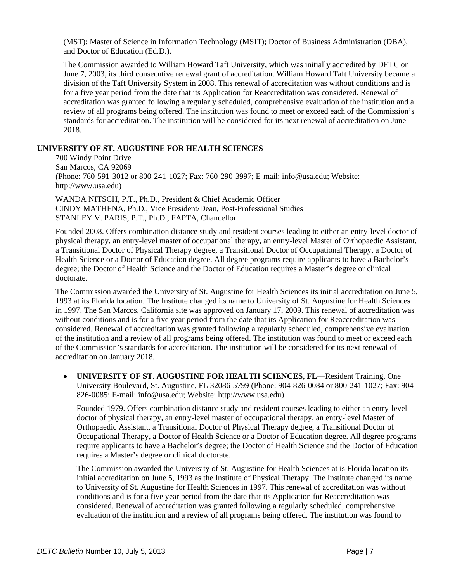(MST); Master of Science in Information Technology (MSIT); Doctor of Business Administration (DBA), and Doctor of Education (Ed.D.).

The Commission awarded to William Howard Taft University, which was initially accredited by DETC on June 7, 2003, its third consecutive renewal grant of accreditation. William Howard Taft University became a division of the Taft University System in 2008. This renewal of accreditation was without conditions and is for a five year period from the date that its Application for Reaccreditation was considered. Renewal of accreditation was granted following a regularly scheduled, comprehensive evaluation of the institution and a review of all programs being offered. The institution was found to meet or exceed each of the Commission's standards for accreditation. The institution will be considered for its next renewal of accreditation on June 2018.

## **UNIVERSITY OF ST. AUGUSTINE FOR HEALTH SCIENCES**

700 Windy Point Drive San Marcos, CA 92069 (Phone: 760-591-3012 or 800-241-1027; Fax: 760-290-3997; E-mail: info@usa.edu; Website: http://www.usa.edu)

WANDA NITSCH, P.T., Ph.D., President & Chief Academic Officer CINDY MATHENA, Ph.D., Vice President/Dean, Post-Professional Studies STANLEY V. PARIS, P.T., Ph.D., FAPTA, Chancellor

Founded 2008. Offers combination distance study and resident courses leading to either an entry-level doctor of physical therapy, an entry-level master of occupational therapy, an entry-level Master of Orthopaedic Assistant, a Transitional Doctor of Physical Therapy degree, a Transitional Doctor of Occupational Therapy, a Doctor of Health Science or a Doctor of Education degree. All degree programs require applicants to have a Bachelor's degree; the Doctor of Health Science and the Doctor of Education requires a Master's degree or clinical doctorate.

The Commission awarded the University of St. Augustine for Health Sciences its initial accreditation on June 5, 1993 at its Florida location. The Institute changed its name to University of St. Augustine for Health Sciences in 1997. The San Marcos, California site was approved on January 17, 2009. This renewal of accreditation was without conditions and is for a five year period from the date that its Application for Reaccreditation was considered. Renewal of accreditation was granted following a regularly scheduled, comprehensive evaluation of the institution and a review of all programs being offered. The institution was found to meet or exceed each of the Commission's standards for accreditation. The institution will be considered for its next renewal of accreditation on January 2018.

**• UNIVERSITY OF ST. AUGUSTINE FOR HEALTH SCIENCES, FL—Resident Training, One** University Boulevard, St. Augustine, FL 32086-5799 (Phone: 904-826-0084 or 800-241-1027; Fax: 904- 826-0085; E-mail: info@usa.edu; Website: http://www.usa.edu)

Founded 1979. Offers combination distance study and resident courses leading to either an entry-level doctor of physical therapy, an entry-level master of occupational therapy, an entry-level Master of Orthopaedic Assistant, a Transitional Doctor of Physical Therapy degree, a Transitional Doctor of Occupational Therapy, a Doctor of Health Science or a Doctor of Education degree. All degree programs require applicants to have a Bachelor's degree; the Doctor of Health Science and the Doctor of Education requires a Master's degree or clinical doctorate.

The Commission awarded the University of St. Augustine for Health Sciences at is Florida location its initial accreditation on June 5, 1993 as the Institute of Physical Therapy. The Institute changed its name to University of St. Augustine for Health Sciences in 1997. This renewal of accreditation was without conditions and is for a five year period from the date that its Application for Reaccreditation was considered. Renewal of accreditation was granted following a regularly scheduled, comprehensive evaluation of the institution and a review of all programs being offered. The institution was found to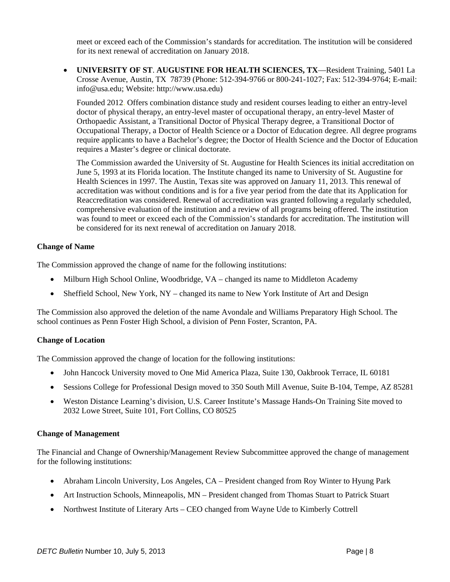meet or exceed each of the Commission's standards for accreditation. The institution will be considered for its next renewal of accreditation on January 2018.

 **UNIVERSITY OF ST**. **AUGUSTINE FOR HEALTH SCIENCES, TX**—Resident Training, 5401 La Crosse Avenue, Austin, TX 78739 (Phone: 512-394-9766 or 800-241-1027; Fax: 512-394-9764; E-mail: info@usa.edu; Website: http://www.usa.edu)

Founded 2012. Offers combination distance study and resident courses leading to either an entry-level doctor of physical therapy, an entry-level master of occupational therapy, an entry-level Master of Orthopaedic Assistant, a Transitional Doctor of Physical Therapy degree, a Transitional Doctor of Occupational Therapy, a Doctor of Health Science or a Doctor of Education degree. All degree programs require applicants to have a Bachelor's degree; the Doctor of Health Science and the Doctor of Education requires a Master's degree or clinical doctorate.

The Commission awarded the University of St. Augustine for Health Sciences its initial accreditation on June 5, 1993 at its Florida location. The Institute changed its name to University of St. Augustine for Health Sciences in 1997. The Austin, Texas site was approved on January 11, 2013. This renewal of accreditation was without conditions and is for a five year period from the date that its Application for Reaccreditation was considered. Renewal of accreditation was granted following a regularly scheduled, comprehensive evaluation of the institution and a review of all programs being offered. The institution was found to meet or exceed each of the Commission's standards for accreditation. The institution will be considered for its next renewal of accreditation on January 2018.

## **Change of Name**

The Commission approved the change of name for the following institutions:

- Milburn High School Online, Woodbridge, VA changed its name to Middleton Academy
- Sheffield School, New York, NY changed its name to New York Institute of Art and Design

The Commission also approved the deletion of the name Avondale and Williams Preparatory High School. The school continues as Penn Foster High School, a division of Penn Foster, Scranton, PA.

## **Change of Location**

The Commission approved the change of location for the following institutions:

- John Hancock University moved to One Mid America Plaza, Suite 130, Oakbrook Terrace, IL 60181
- Sessions College for Professional Design moved to 350 South Mill Avenue, Suite B-104, Tempe, AZ 85281
- Weston Distance Learning's division, U.S. Career Institute's Massage Hands-On Training Site moved to 2032 Lowe Street, Suite 101, Fort Collins, CO 80525

## **Change of Management**

The Financial and Change of Ownership/Management Review Subcommittee approved the change of management for the following institutions:

- Abraham Lincoln University, Los Angeles, CA President changed from Roy Winter to Hyung Park
- Art Instruction Schools, Minneapolis, MN President changed from Thomas Stuart to Patrick Stuart
- Northwest Institute of Literary Arts CEO changed from Wayne Ude to Kimberly Cottrell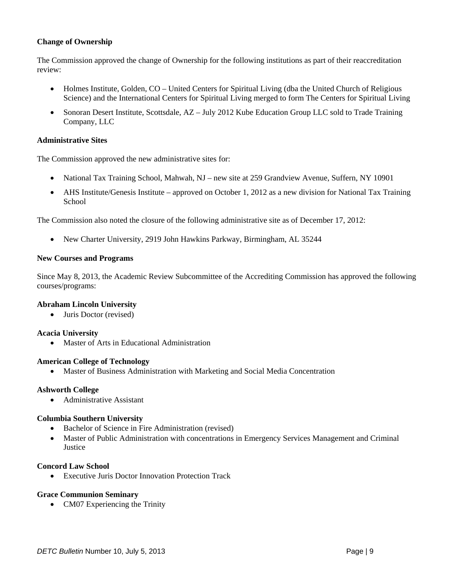## **Change of Ownership**

The Commission approved the change of Ownership for the following institutions as part of their reaccreditation review:

- Holmes Institute, Golden, CO United Centers for Spiritual Living (dba the United Church of Religious Science) and the International Centers for Spiritual Living merged to form The Centers for Spiritual Living
- Sonoran Desert Institute, Scottsdale, AZ July 2012 Kube Education Group LLC sold to Trade Training Company, LLC

#### **Administrative Sites**

The Commission approved the new administrative sites for:

- National Tax Training School, Mahwah, NJ new site at 259 Grandview Avenue, Suffern, NY 10901
- AHS Institute/Genesis Institute approved on October 1, 2012 as a new division for National Tax Training School

The Commission also noted the closure of the following administrative site as of December 17, 2012:

New Charter University, 2919 John Hawkins Parkway, Birmingham, AL 35244

#### **New Courses and Programs**

Since May 8, 2013, the Academic Review Subcommittee of the Accrediting Commission has approved the following courses/programs:

#### **Abraham Lincoln University**

• Juris Doctor (revised)

## **Acacia University**

Master of Arts in Educational Administration

#### **American College of Technology**

Master of Business Administration with Marketing and Social Media Concentration

#### **Ashworth College**

• Administrative Assistant

## **Columbia Southern University**

- Bachelor of Science in Fire Administration (revised)
- Master of Public Administration with concentrations in Emergency Services Management and Criminal **Justice**

#### **Concord Law School**

Executive Juris Doctor Innovation Protection Track

#### **Grace Communion Seminary**

• CM07 Experiencing the Trinity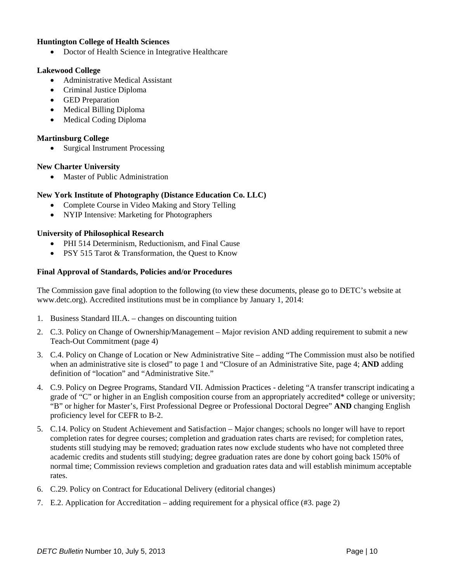## **Huntington College of Health Sciences**

• Doctor of Health Science in Integrative Healthcare

## **Lakewood College**

- Administrative Medical Assistant
- Criminal Justice Diploma
- GED Preparation
- Medical Billing Diploma
- Medical Coding Diploma

## **Martinsburg College**

• Surgical Instrument Processing

## **New Charter University**

• Master of Public Administration

# **New York Institute of Photography (Distance Education Co. LLC)**

- Complete Course in Video Making and Story Telling
- NYIP Intensive: Marketing for Photographers

# **University of Philosophical Research**

- PHI 514 Determinism, Reductionism, and Final Cause
- PSY 515 Tarot & Transformation, the Quest to Know

## **Final Approval of Standards, Policies and/or Procedures**

The Commission gave final adoption to the following (to view these documents, please go to DETC's website at www.detc.org). Accredited institutions must be in compliance by January 1, 2014:

- 1. Business Standard III.A. changes on discounting tuition
- 2. C.3. Policy on Change of Ownership/Management Major revision AND adding requirement to submit a new Teach-Out Commitment (page 4)
- 3. C.4. Policy on Change of Location or New Administrative Site adding "The Commission must also be notified when an administrative site is closed" to page 1 and "Closure of an Administrative Site, page 4; **AND** adding definition of "location" and "Administrative Site."
- 4. C.9. Policy on Degree Programs, Standard VII. Admission Practices deleting "A transfer transcript indicating a grade of "C" or higher in an English composition course from an appropriately accredited\* college or university; "B" or higher for Master's, First Professional Degree or Professional Doctoral Degree" **AND** changing English proficiency level for CEFR to B-2.
- 5. C.14. Policy on Student Achievement and Satisfaction Major changes; schools no longer will have to report completion rates for degree courses; completion and graduation rates charts are revised; for completion rates, students still studying may be removed; graduation rates now exclude students who have not completed three academic credits and students still studying; degree graduation rates are done by cohort going back 150% of normal time; Commission reviews completion and graduation rates data and will establish minimum acceptable rates.
- 6. C.29. Policy on Contract for Educational Delivery (editorial changes)
- 7. E.2. Application for Accreditation adding requirement for a physical office (#3. page 2)